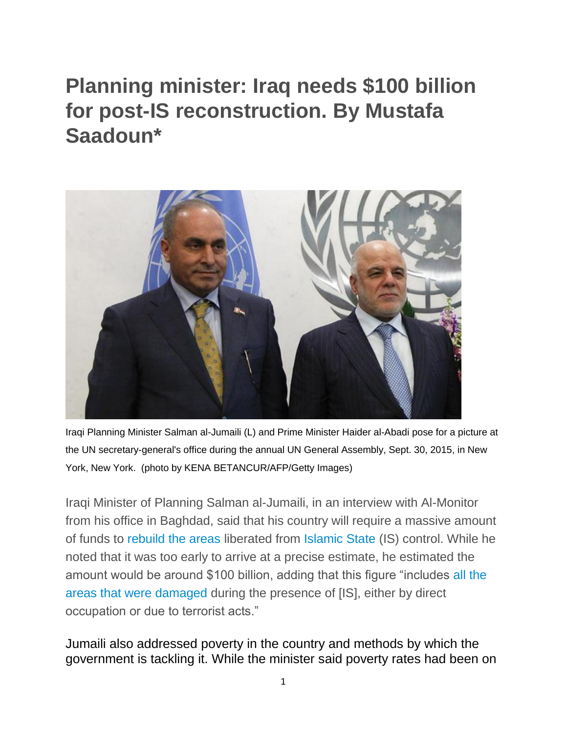## **Planning minister: Iraq needs \$100 billion for post-IS reconstruction. By Mustafa Saadoun\***



Iraqi Planning Minister Salman al-Jumaili (L) and Prime Minister Haider al-Abadi pose for a picture at the UN secretary-general's office during the annual UN General Assembly, Sept. 30, 2015, in New York, New York. (photo by KENA BETANCUR/AFP/Getty Images)

Iraqi Minister of Planning Salman al-Jumaili, in an interview with Al-Monitor from his office in Baghdad, said that his country will require a massive amount of funds to [rebuild the areas](http://www.al-monitor.com/pulse/originals/2016/04/iraq-ramadi-liberation-reconstruction.html) liberated from [Islamic State](http://www.al-monitor.com/pulse/originals/2016/03/iraq-baghdad-belts-harbor-islamic-state.html) (IS) control. While he noted that it was too early to arrive at a precise estimate, he estimated the amount would be around \$100 billion, adding that this figure "includes [all the](http://www.al-monitor.com/pulse/originals/2017/06/mosul-iraq-reconstruction-national-reconciliation.html)  [areas that were damaged](http://www.al-monitor.com/pulse/originals/2017/06/mosul-iraq-reconstruction-national-reconciliation.html) during the presence of [IS], either by direct occupation or due to terrorist acts."

Jumaili also addressed poverty in the country and methods by which the government is tackling it. While the minister said poverty rates had been on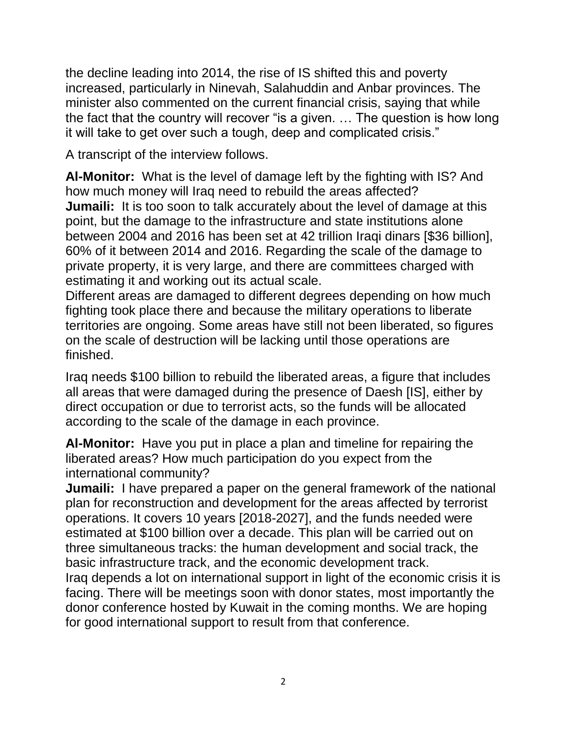the decline leading into 2014, the rise of IS shifted this and poverty increased, particularly in Ninevah, Salahuddin and Anbar provinces. The minister also commented on the current financial crisis, saying that while the fact that the country will recover "is a given. … The question is how long it will take to get over such a tough, deep and complicated crisis."

A transcript of the interview follows.

**Al-Monitor:** What is the level of damage left by the fighting with IS? And how much money will Iraq need to rebuild the areas affected? **Jumaili:** It is too soon to talk accurately about the level of damage at this point, but the damage to the infrastructure and state institutions alone between 2004 and 2016 has been set at 42 trillion Iraqi dinars [\$36 billion], 60% of it between 2014 and 2016. Regarding the scale of the damage to private property, it is very large, and there are committees charged with estimating it and working out its actual scale.

Different areas are damaged to different degrees depending on how much fighting took place there and because the military operations to liberate territories are ongoing. Some areas have still not been liberated, so figures on the scale of destruction will be lacking until those operations are finished.

Iraq needs \$100 billion to rebuild the liberated areas, a figure that includes all areas that were damaged during the presence of Daesh [IS], either by direct occupation or due to terrorist acts, so the funds will be allocated according to the scale of the damage in each province.

**Al-Monitor:** Have you put in place a plan and timeline for repairing the liberated areas? How much participation do you expect from the international community?

**Jumaili:** I have prepared a paper on the general framework of the national plan for reconstruction and development for the areas affected by terrorist operations. It covers 10 years [2018-2027], and the funds needed were estimated at \$100 billion over a decade. This plan will be carried out on three simultaneous tracks: the human development and social track, the basic infrastructure track, and the economic development track.

Iraq depends a lot on international support in light of the economic crisis it is facing. There will be meetings soon with donor states, most importantly the donor conference hosted by Kuwait in the coming months. We are hoping for good international support to result from that conference.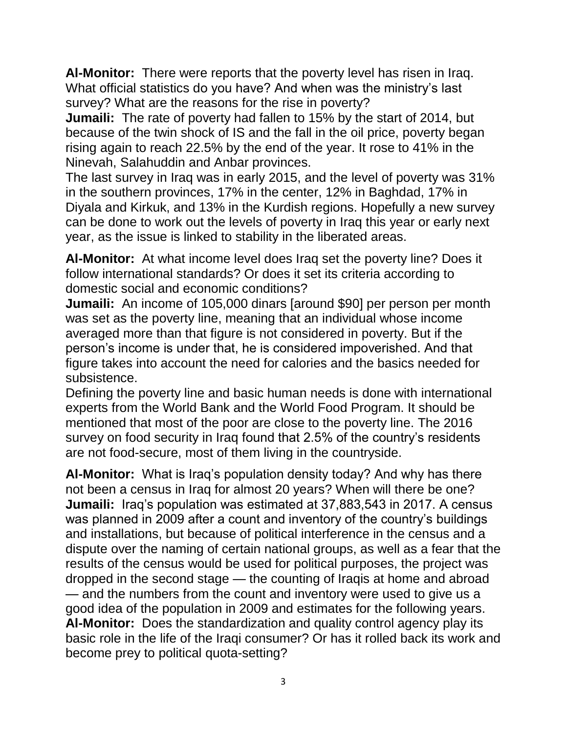**Al-Monitor:** There were reports that the poverty level has risen in Iraq. What official statistics do you have? And when was the ministry's last survey? What are the reasons for the rise in poverty?

**Jumaili:** The rate of poverty had fallen to 15% by the start of 2014, but because of the twin shock of IS and the fall in the oil price, poverty began rising again to reach 22.5% by the end of the year. It rose to 41% in the Ninevah, Salahuddin and Anbar provinces.

The last survey in Iraq was in early 2015, and the level of poverty was 31% in the southern provinces, 17% in the center, 12% in Baghdad, 17% in Diyala and Kirkuk, and 13% in the Kurdish regions. Hopefully a new survey can be done to work out the levels of poverty in Iraq this year or early next year, as the issue is linked to stability in the liberated areas.

**Al-Monitor:** At what income level does Iraq set the poverty line? Does it follow international standards? Or does it set its criteria according to domestic social and economic conditions?

**Jumaili:** An income of 105,000 dinars [around \$90] per person per month was set as the poverty line, meaning that an individual whose income averaged more than that figure is not considered in poverty. But if the person's income is under that, he is considered impoverished. And that figure takes into account the need for calories and the basics needed for subsistence.

Defining the poverty line and basic human needs is done with international experts from the World Bank and the World Food Program. It should be mentioned that most of the poor are close to the poverty line. The 2016 survey on food security in Iraq found that 2.5% of the country's residents are not food-secure, most of them living in the countryside.

**Al-Monitor:** What is Iraq's population density today? And why has there not been a census in Iraq for almost 20 years? When will there be one? **Jumaili:** Iraq's population was estimated at 37,883,543 in 2017. A census was planned in 2009 after a count and inventory of the country's buildings and installations, but because of political interference in the census and a dispute over the naming of certain national groups, as well as a fear that the results of the census would be used for political purposes, the project was dropped in the second stage — the counting of Iraqis at home and abroad — and the numbers from the count and inventory were used to give us a good idea of the population in 2009 and estimates for the following years. **Al-Monitor:** Does the standardization and quality control agency play its basic role in the life of the Iraqi consumer? Or has it rolled back its work and become prey to political quota-setting?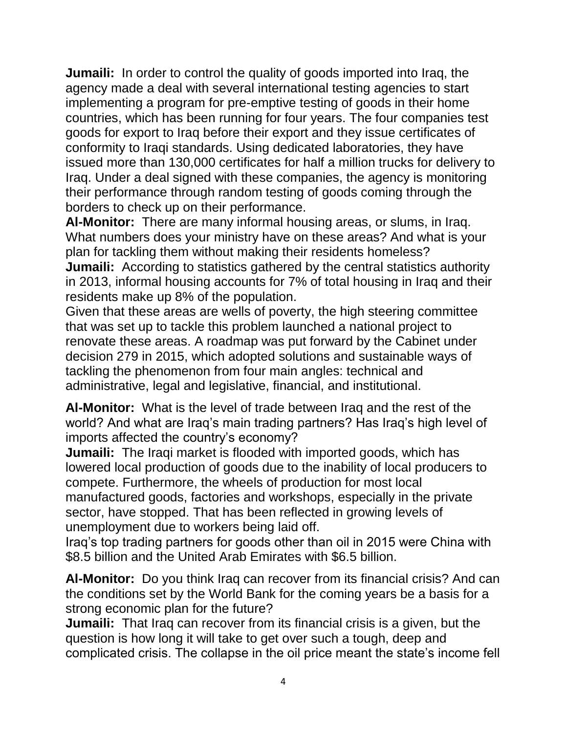**Jumaili:** In order to control the quality of goods imported into Iraq, the agency made a deal with several international testing agencies to start implementing a program for pre-emptive testing of goods in their home countries, which has been running for four years. The four companies test goods for export to Iraq before their export and they issue certificates of conformity to Iraqi standards. Using dedicated laboratories, they have issued more than 130,000 certificates for half a million trucks for delivery to Iraq. Under a deal signed with these companies, the agency is monitoring their performance through random testing of goods coming through the borders to check up on their performance.

**Al-Monitor:** There are many informal housing areas, or slums, in Iraq. What numbers does your ministry have on these areas? And what is your plan for tackling them without making their residents homeless? **Jumaili:** According to statistics gathered by the central statistics authority in 2013, informal housing accounts for 7% of total housing in Iraq and their residents make up 8% of the population.

Given that these areas are wells of poverty, the high steering committee that was set up to tackle this problem launched a national project to renovate these areas. A roadmap was put forward by the Cabinet under decision 279 in 2015, which adopted solutions and sustainable ways of tackling the phenomenon from four main angles: technical and administrative, legal and legislative, financial, and institutional.

**Al-Monitor:** What is the level of trade between Iraq and the rest of the world? And what are Iraq's main trading partners? Has Iraq's high level of imports affected the country's economy?

**Jumaili:** The Iraqi market is flooded with imported goods, which has lowered local production of goods due to the inability of local producers to compete. Furthermore, the wheels of production for most local manufactured goods, factories and workshops, especially in the private sector, have stopped. That has been reflected in growing levels of unemployment due to workers being laid off.

Iraq's top trading partners for goods other than oil in 2015 were China with \$8.5 billion and the United Arab Emirates with \$6.5 billion.

**Al-Monitor:** Do you think Iraq can recover from its financial crisis? And can the conditions set by the World Bank for the coming years be a basis for a strong economic plan for the future?

**Jumaili:** That Iraq can recover from its financial crisis is a given, but the question is how long it will take to get over such a tough, deep and complicated crisis. The collapse in the oil price meant the state's income fell